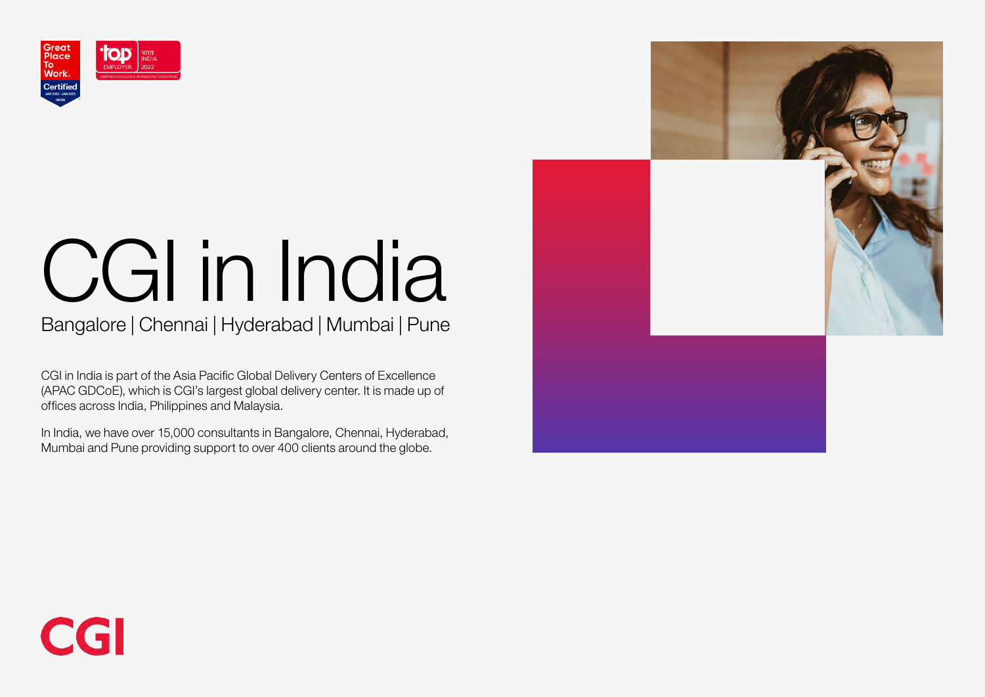

# CGI in India

## Bangalore | Chennai | Hyderabad | Mumbai | Pune

CGI in India is part of the Asia Pacific Global Delivery Centers of Excellence (APAC GDCoE), which is CGI's largest global delivery center. It is made up of offices across India, Philippines and Malaysia.

In India, we have over 15,000 consultants in Bangalore, Chennai, Hyderabad, Mumbai and Pune providing support to over 400 clients around the globe.



## CGI

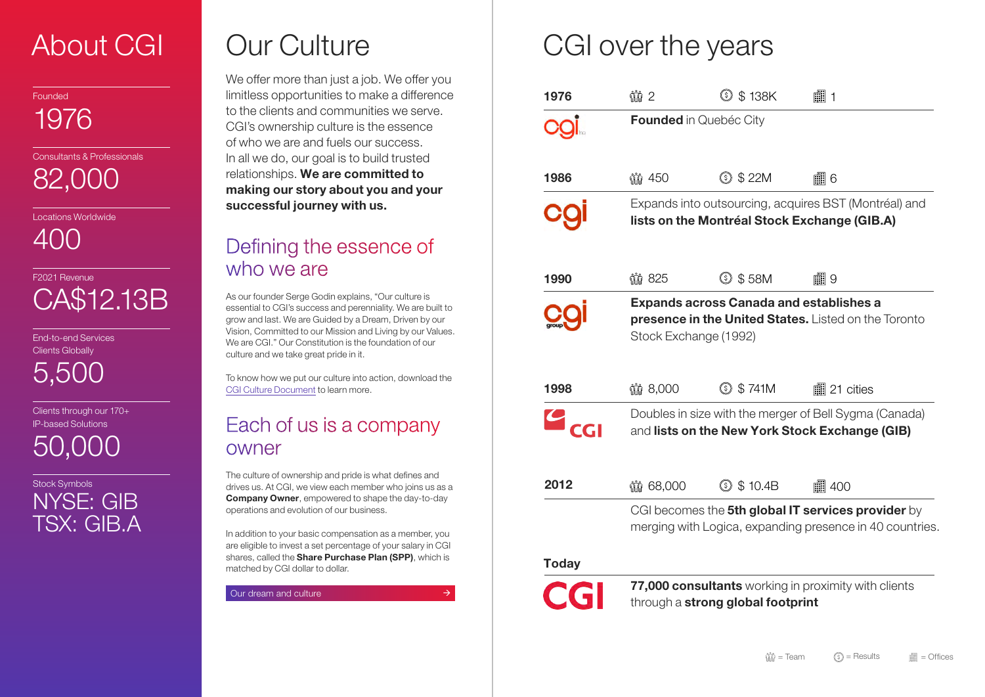\$ 22M **■8**6

Ircing, acquires BST (Montréal) and ial Stock Exchange (GIB.A)

\$ 58M **Figure 19** 

anada and establishes a **ited States.** Listed on the Toronto 92)

 $$741M$ **■21** cities

the merger of Bell Sygma (Canada) w York Stock Exchange (GIB)

## Defining the essence of who we are

\$ 138K 1

City

| 1976         | Ŵ 2                                                                   |                                         |
|--------------|-----------------------------------------------------------------------|-----------------------------------------|
|              | <b>Founded in Quebéc</b>                                              |                                         |
| 1986         | 150                                                                   | $\ddot{\Omega}$<br>$(\boldsymbol{\xi})$ |
|              | Expands into outsou<br>lists on the Montré                            |                                         |
| 1990         | 11 825                                                                | $\ddot{\Omega}$<br>$[\$]$               |
|              | <b>Expands across Ca</b><br>presence in the Un<br>Stock Exchange (199 |                                         |
| 1998         | 11 8,000                                                              | $\ddot{\Omega}$<br>\$)                  |
|              | Doubles in size with t<br>and lists on the Nev                        |                                         |
| 2012         | 11 68,000                                                             | $\ddot{\Omega}$<br>$(\boldsymbol{\xi})$ |
|              | CGI becomes the 5tl<br>merging with Logica,                           |                                         |
| <b>Today</b> |                                                                       |                                         |
| CGI          | 77,000 consultants<br>through a <b>strong glo</b>                     |                                         |
|              |                                                                       |                                         |

\$ 10.4B 400

In global IT services provider by expanding presence in 40 countries.

**s** working in proximity with clients obal footprint

## CGI over the years

To know how we put our culture into action, download the [CGI Culture Document](https://www.cgi.com/sites/default/files/2021-01/cgi-culture-en.pdf) to learn more.

## About CGI

Founded

1976

Consultants & Professionals

82,000

Locations Worldwide

400

F2021 Revenue CA\$12.13B

End-to-end Services Clients Globally

5,500

Clients through our 170+ IP-based Solutions

50,000

Stock Symbols NYSE: GIB TSX: GIB.A We offer more than just a job. We offer you limitless opportunities to make a difference to the clients and communities we serve. CGI's ownership culture is the essence of who we are and fuels our success. In all we do, our goal is to build trusted relationships. We are committed to making our story about you and your successful journey with us.

As our founder Serge Godin explains, "Our culture is essential to CGI's success and perenniality. We are built to grow and last. We are Guided by a Dream, Driven by our Vision, Committed to our Mission and Living by our Values. We are CGI." Our Constitution is the foundation of our culture and we take great pride in it.

## Each of us is a company owner

The culture of ownership and pride is what defines and drives us. At CGI, we view each member who joins us as a **Company Owner, empowered to shape the day-to-day** operations and evolution of our business.

In addition to your basic compensation as a member, you are eligible to invest a set percentage of your salary in CGI shares, called the **Share Purchase Plan (SPP)**, which is matched by CGI dollar to dollar.

[Our dream and culture](https://www.cgi.com/en/overview/constitution)

 $\rightarrow$ 

## Our Culture